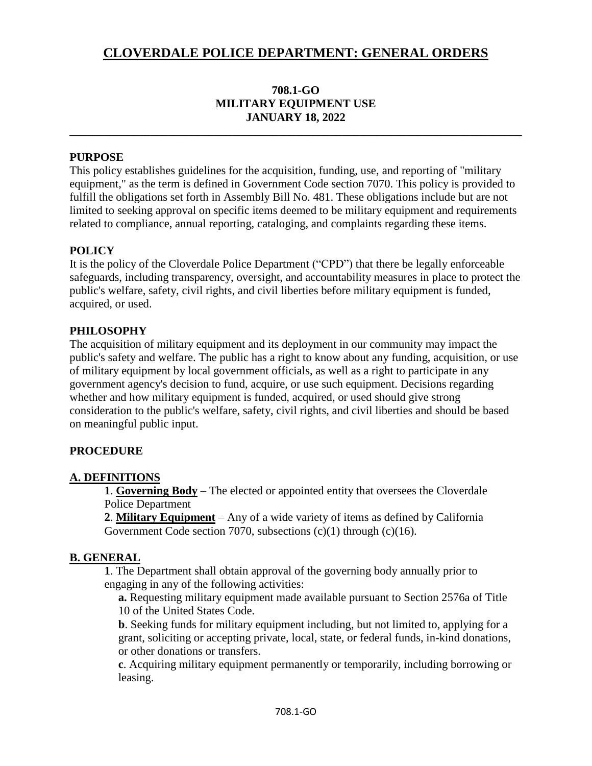## **708.1-GO MILITARY EQUIPMENT USE JANUARY 18, 2022**

**\_\_\_\_\_\_\_\_\_\_\_\_\_\_\_\_\_\_\_\_\_\_\_\_\_\_\_\_\_\_\_\_\_\_\_\_\_\_\_\_\_\_\_\_\_\_\_\_\_\_\_\_\_\_\_\_\_\_\_\_\_\_\_\_\_\_\_\_\_\_\_\_\_\_\_\_\_\_**

#### **PURPOSE**

This policy establishes guidelines for the acquisition, funding, use, and reporting of "military equipment," as the term is defined in Government Code section 7070. This policy is provided to fulfill the obligations set forth in Assembly Bill No. 481. These obligations include but are not limited to seeking approval on specific items deemed to be military equipment and requirements related to compliance, annual reporting, cataloging, and complaints regarding these items.

## **POLICY**

It is the policy of the Cloverdale Police Department ("CPD") that there be legally enforceable safeguards, including transparency, oversight, and accountability measures in place to protect the public's welfare, safety, civil rights, and civil liberties before military equipment is funded, acquired, or used.

#### **PHILOSOPHY**

The acquisition of military equipment and its deployment in our community may impact the public's safety and welfare. The public has a right to know about any funding, acquisition, or use of military equipment by local government officials, as well as a right to participate in any government agency's decision to fund, acquire, or use such equipment. Decisions regarding whether and how military equipment is funded, acquired, or used should give strong consideration to the public's welfare, safety, civil rights, and civil liberties and should be based on meaningful public input.

### **PROCEDURE**

#### **A. DEFINITIONS**

**1**. **Governing Body** – The elected or appointed entity that oversees the Cloverdale Police Department

**2**. **Military Equipment** – Any of a wide variety of items as defined by California Government Code section 7070, subsections (c)(1) through (c)(16).

#### **B. GENERAL**

**1**. The Department shall obtain approval of the governing body annually prior to engaging in any of the following activities:

**a.** Requesting military equipment made available pursuant to Section 2576a of Title 10 of the United States Code.

**b**. Seeking funds for military equipment including, but not limited to, applying for a grant, soliciting or accepting private, local, state, or federal funds, in-kind donations, or other donations or transfers.

**c**. Acquiring military equipment permanently or temporarily, including borrowing or leasing.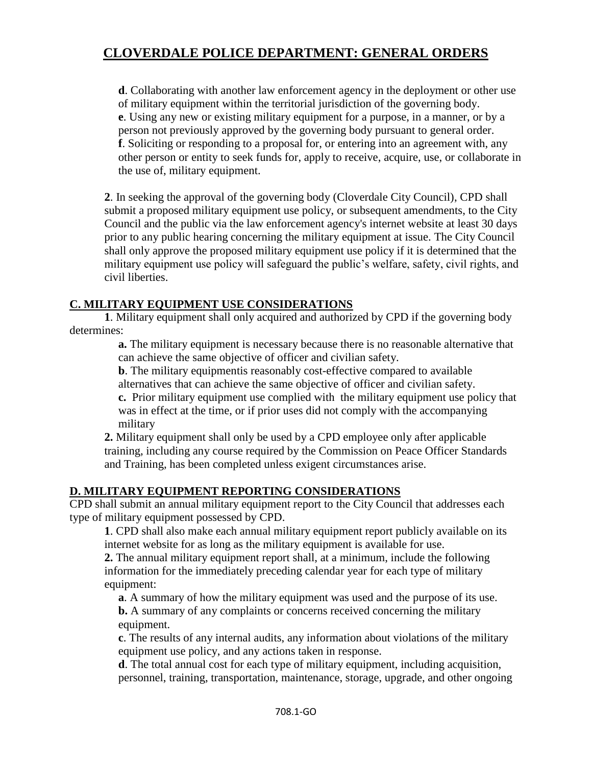**d**. Collaborating with another law enforcement agency in the deployment or other use of military equipment within the territorial jurisdiction of the governing body. **e**. Using any new or existing military equipment for a purpose, in a manner, or by a person not previously approved by the governing body pursuant to general order. **f**. Soliciting or responding to a proposal for, or entering into an agreement with, any other person or entity to seek funds for, apply to receive, acquire, use, or collaborate in the use of, military equipment.

**2**. In seeking the approval of the governing body (Cloverdale City Council), CPD shall submit a proposed military equipment use policy, or subsequent amendments, to the City Council and the public via the law enforcement agency's internet website at least 30 days prior to any public hearing concerning the military equipment at issue. The City Council shall only approve the proposed military equipment use policy if it is determined that the military equipment use policy will safeguard the public's welfare, safety, civil rights, and civil liberties.

## **C. MILITARY EQUIPMENT USE CONSIDERATIONS**

**1**. Military equipment shall only acquired and authorized by CPD if the governing body determines:

> **a.** The military equipment is necessary because there is no reasonable alternative that can achieve the same objective of officer and civilian safety.

**b**. The military equipmentis reasonably cost-effective compared to available alternatives that can achieve the same objective of officer and civilian safety.

**c.** Prior military equipment use complied with the military equipment use policy that was in effect at the time, or if prior uses did not comply with the accompanying military

**2.** Military equipment shall only be used by a CPD employee only after applicable training, including any course required by the Commission on Peace Officer Standards and Training, has been completed unless exigent circumstances arise.

### **D. MILITARY EQUIPMENT REPORTING CONSIDERATIONS**

CPD shall submit an annual military equipment report to the City Council that addresses each type of military equipment possessed by CPD.

**1**. CPD shall also make each annual military equipment report publicly available on its internet website for as long as the military equipment is available for use.

**2.** The annual military equipment report shall, at a minimum, include the following information for the immediately preceding calendar year for each type of military equipment:

**a**. A summary of how the military equipment was used and the purpose of its use. **b.** A summary of any complaints or concerns received concerning the military equipment.

**c**. The results of any internal audits, any information about violations of the military equipment use policy, and any actions taken in response.

**d**. The total annual cost for each type of military equipment, including acquisition, personnel, training, transportation, maintenance, storage, upgrade, and other ongoing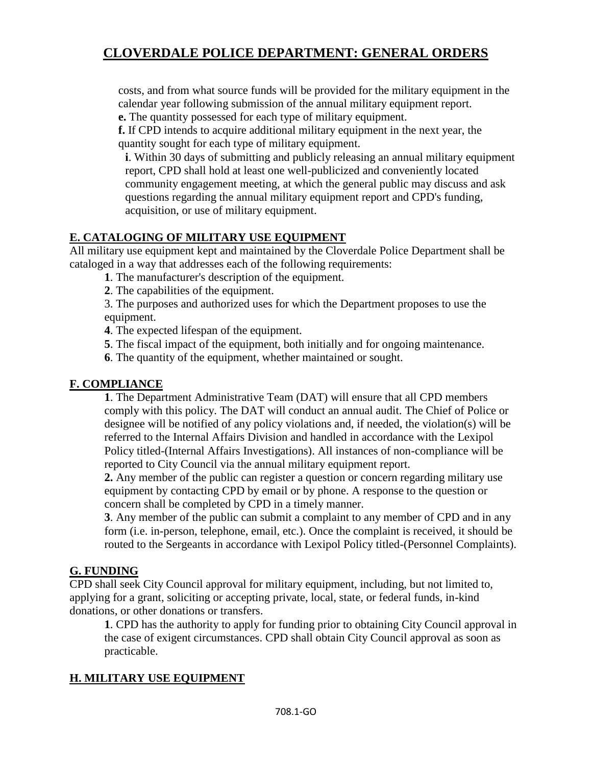costs, and from what source funds will be provided for the military equipment in the calendar year following submission of the annual military equipment report.

**e.** The quantity possessed for each type of military equipment.

**f.** If CPD intends to acquire additional military equipment in the next year, the quantity sought for each type of military equipment.

**i**. Within 30 days of submitting and publicly releasing an annual military equipment report, CPD shall hold at least one well-publicized and conveniently located community engagement meeting, at which the general public may discuss and ask questions regarding the annual military equipment report and CPD's funding, acquisition, or use of military equipment.

## **E. CATALOGING OF MILITARY USE EQUIPMENT**

All military use equipment kept and maintained by the Cloverdale Police Department shall be cataloged in a way that addresses each of the following requirements:

**1**. The manufacturer's description of the equipment.

- **2**. The capabilities of the equipment.
- 3. The purposes and authorized uses for which the Department proposes to use the equipment.
- **4**. The expected lifespan of the equipment.
- **5**. The fiscal impact of the equipment, both initially and for ongoing maintenance.
- **6**. The quantity of the equipment, whether maintained or sought.

#### **F. COMPLIANCE**

**1**. The Department Administrative Team (DAT) will ensure that all CPD members comply with this policy. The DAT will conduct an annual audit. The Chief of Police or designee will be notified of any policy violations and, if needed, the violation(s) will be referred to the Internal Affairs Division and handled in accordance with the Lexipol Policy titled-(Internal Affairs Investigations). All instances of non-compliance will be reported to City Council via the annual military equipment report.

**2.** Any member of the public can register a question or concern regarding military use equipment by contacting CPD by email or by phone. A response to the question or concern shall be completed by CPD in a timely manner.

**3**. Any member of the public can submit a complaint to any member of CPD and in any form (i.e. in-person, telephone, email, etc.). Once the complaint is received, it should be routed to the Sergeants in accordance with Lexipol Policy titled-(Personnel Complaints).

### **G. FUNDING**

CPD shall seek City Council approval for military equipment, including, but not limited to, applying for a grant, soliciting or accepting private, local, state, or federal funds, in-kind donations, or other donations or transfers.

**1**. CPD has the authority to apply for funding prior to obtaining City Council approval in the case of exigent circumstances. CPD shall obtain City Council approval as soon as practicable.

## **H. MILITARY USE EQUIPMENT**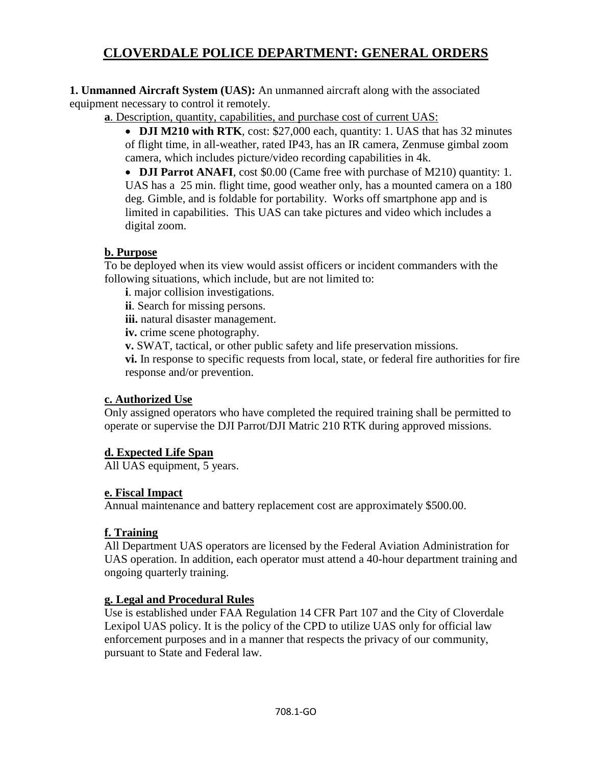**1. Unmanned Aircraft System (UAS):** An unmanned aircraft along with the associated equipment necessary to control it remotely.

**a**. Description, quantity, capabilities, and purchase cost of current UAS:

 **DJI M210 with RTK**, cost: \$27,000 each, quantity: 1. UAS that has 32 minutes of flight time, in all-weather, rated IP43, has an IR camera, Zenmuse gimbal zoom camera, which includes picture/video recording capabilities in 4k.

• **DJI Parrot ANAFI**, cost \$0.00 (Came free with purchase of M210) quantity: 1. UAS has a 25 min. flight time, good weather only, has a mounted camera on a 180 deg. Gimble, and is foldable for portability. Works off smartphone app and is limited in capabilities. This UAS can take pictures and video which includes a digital zoom.

## **b. Purpose**

To be deployed when its view would assist officers or incident commanders with the following situations, which include, but are not limited to:

**i**. major collision investigations.

**ii**. Search for missing persons.

**iii.** natural disaster management.

**iv.** crime scene photography.

**v.** SWAT, tactical, or other public safety and life preservation missions.

**vi.** In response to specific requests from local, state, or federal fire authorities for fire response and/or prevention.

### **c. Authorized Use**

Only assigned operators who have completed the required training shall be permitted to operate or supervise the DJI Parrot/DJI Matric 210 RTK during approved missions.

## **d. Expected Life Span**

All UAS equipment, 5 years.

## **e. Fiscal Impact**

Annual maintenance and battery replacement cost are approximately \$500.00.

## **f. Training**

All Department UAS operators are licensed by the Federal Aviation Administration for UAS operation. In addition, each operator must attend a 40-hour department training and ongoing quarterly training.

## **g. Legal and Procedural Rules**

Use is established under FAA Regulation 14 CFR Part 107 and the City of Cloverdale Lexipol UAS policy. It is the policy of the CPD to utilize UAS only for official law enforcement purposes and in a manner that respects the privacy of our community, pursuant to State and Federal law.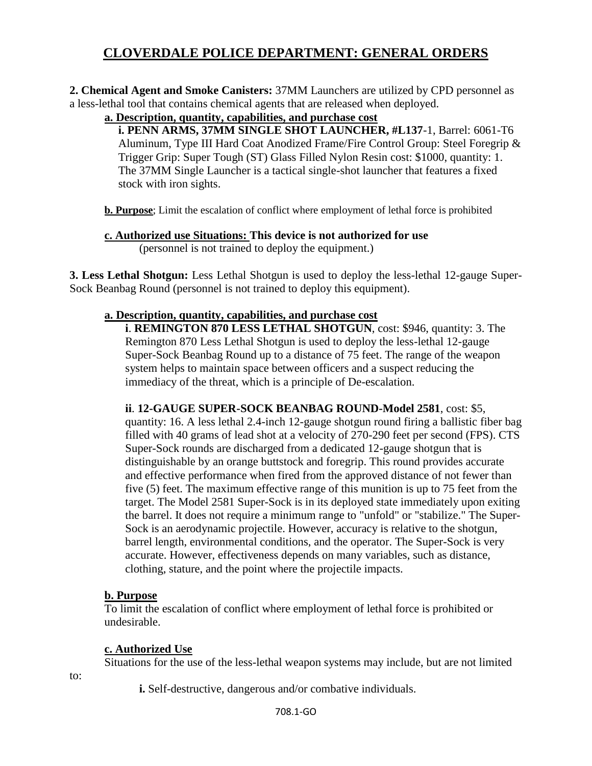**2. Chemical Agent and Smoke Canisters:** 37MM Launchers are utilized by CPD personnel as a less-lethal tool that contains chemical agents that are released when deployed.

**a. Description, quantity, capabilities, and purchase cost** 

**i. PENN ARMS, 37MM SINGLE SHOT LAUNCHER, #L137**-1, Barrel: 6061-T6 Aluminum, Type III Hard Coat Anodized Frame/Fire Control Group: Steel Foregrip & Trigger Grip: Super Tough (ST) Glass Filled Nylon Resin cost: \$1000, quantity: 1. The 37MM Single Launcher is a tactical single-shot launcher that features a fixed stock with iron sights.

**b. Purpose**; Limit the escalation of conflict where employment of lethal force is prohibited

**c. Authorized use Situations: This device is not authorized for use** (personnel is not trained to deploy the equipment.)

**3. Less Lethal Shotgun:** Less Lethal Shotgun is used to deploy the less-lethal 12-gauge Super-Sock Beanbag Round (personnel is not trained to deploy this equipment).

## **a. Description, quantity, capabilities, and purchase cost**

**i**. **REMINGTON 870 LESS LETHAL SHOTGUN**, cost: \$946, quantity: 3. The Remington 870 Less Lethal Shotgun is used to deploy the less-lethal 12-gauge Super-Sock Beanbag Round up to a distance of 75 feet. The range of the weapon system helps to maintain space between officers and a suspect reducing the immediacy of the threat, which is a principle of De-escalation.

**ii**. **12-GAUGE SUPER-SOCK BEANBAG ROUND-Model 2581**, cost: \$5, quantity: 16. A less lethal 2.4-inch 12-gauge shotgun round firing a ballistic fiber bag filled with 40 grams of lead shot at a velocity of 270-290 feet per second (FPS). CTS Super-Sock rounds are discharged from a dedicated 12-gauge shotgun that is distinguishable by an orange buttstock and foregrip. This round provides accurate and effective performance when fired from the approved distance of not fewer than five (5) feet. The maximum effective range of this munition is up to 75 feet from the target. The Model 2581 Super-Sock is in its deployed state immediately upon exiting the barrel. It does not require a minimum range to "unfold" or "stabilize." The Super-Sock is an aerodynamic projectile. However, accuracy is relative to the shotgun, barrel length, environmental conditions, and the operator. The Super-Sock is very accurate. However, effectiveness depends on many variables, such as distance, clothing, stature, and the point where the projectile impacts.

### **b. Purpose**

To limit the escalation of conflict where employment of lethal force is prohibited or undesirable.

### **c. Authorized Use**

Situations for the use of the less-lethal weapon systems may include, but are not limited

to:

**i.** Self-destructive, dangerous and/or combative individuals.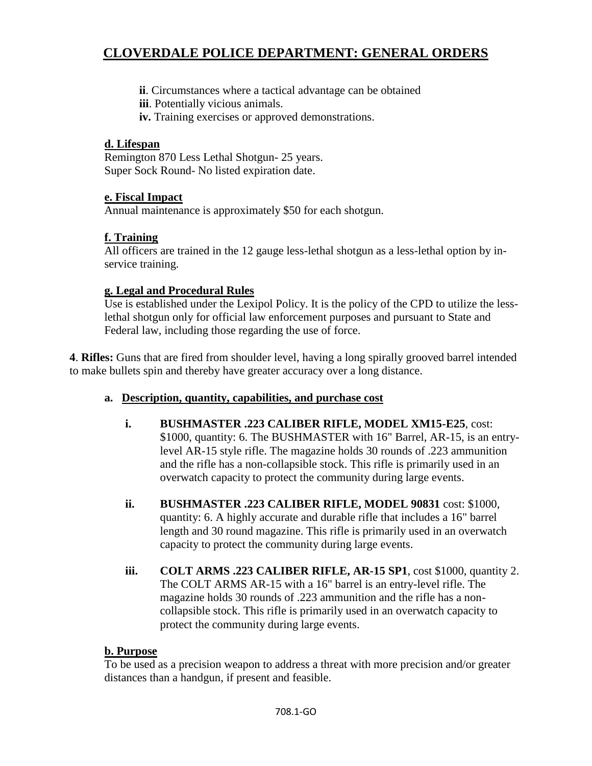**ii**. Circumstances where a tactical advantage can be obtained

**iii**. Potentially vicious animals.

**iv.** Training exercises or approved demonstrations.

#### **d. Lifespan**

Remington 870 Less Lethal Shotgun- 25 years. Super Sock Round- No listed expiration date.

### **e. Fiscal Impact**

Annual maintenance is approximately \$50 for each shotgun.

### **f. Training**

All officers are trained in the 12 gauge less-lethal shotgun as a less-lethal option by inservice training.

### **g. Legal and Procedural Rules**

Use is established under the Lexipol Policy. It is the policy of the CPD to utilize the lesslethal shotgun only for official law enforcement purposes and pursuant to State and Federal law, including those regarding the use of force.

**4**. **Rifles:** Guns that are fired from shoulder level, having a long spirally grooved barrel intended to make bullets spin and thereby have greater accuracy over a long distance.

- **a. Description, quantity, capabilities, and purchase cost**
	- **i. BUSHMASTER .223 CALIBER RIFLE, MODEL XM15-E25**, cost: \$1000, quantity: 6. The BUSHMASTER with 16" Barrel, AR-15, is an entrylevel AR-15 style rifle. The magazine holds 30 rounds of .223 ammunition and the rifle has a non-collapsible stock. This rifle is primarily used in an overwatch capacity to protect the community during large events.
	- **ii. BUSHMASTER .223 CALIBER RIFLE, MODEL 90831** cost: \$1000, quantity: 6. A highly accurate and durable rifle that includes a 16" barrel length and 30 round magazine. This rifle is primarily used in an overwatch capacity to protect the community during large events.
	- **iii. COLT ARMS .223 CALIBER RIFLE, AR-15 SP1**, cost \$1000, quantity 2. The COLT ARMS AR-15 with a 16" barrel is an entry-level rifle. The magazine holds 30 rounds of .223 ammunition and the rifle has a noncollapsible stock. This rifle is primarily used in an overwatch capacity to protect the community during large events.

### **b. Purpose**

To be used as a precision weapon to address a threat with more precision and/or greater distances than a handgun, if present and feasible.